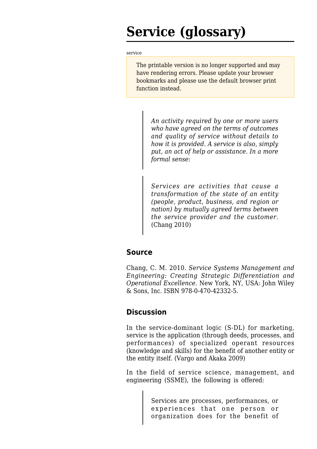# **Service (glossary)**

#### [service](http://www.sebokwiki.org/wiki/Service_(glossary))

The printable version is no longer supported and may have rendering errors. Please update your browser bookmarks and please use the default browser print function instead.

*An activity required by one or more users who have agreed on the terms of outcomes and quality of service without details to how it is provided. A service is also, simply put, an act of help or assistance. In a more formal sense:*

*Services are activities that cause a transformation of the state of an entity (people, product, business, and region or nation) by mutually agreed terms between the service provider and the customer.* (Chang 2010)

## **Source**

Chang, C. M. 2010. *Service Systems Management and Engineering: Creating Strategic Differentiation and Operational Excellence.* New York, NY, USA: John Wiley & Sons, Inc. ISBN 978-0-470-42332-5.

## **Discussion**

In the service-dominant logic (S-DL) for marketing, service is the application (through deeds, processes, and performances) of specialized operant resources (knowledge and skills) for the benefit of another entity or the entity itself. (Vargo and Akaka 2009)

In the field of service science, management, and engineering (SSME), the following is offered:

> Services are processes, performances, or experiences that one person or organization does for the benefit of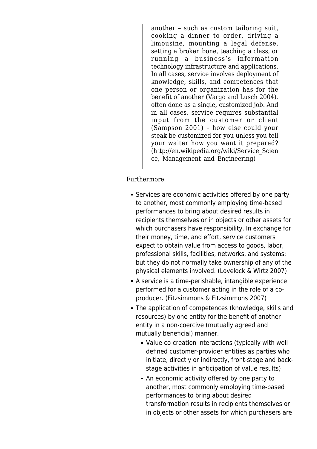another – such as custom tailoring suit, cooking a dinner to order, driving a limousine, mounting a legal defense, setting a broken bone, teaching a class, or running a business's information technology infrastructure and applications. In all cases, service involves deployment of knowledge, skills, and competences that one person or organization has for the benefit of another (Vargo and Lusch 2004), often done as a single, customized job. And in all cases, service requires substantial input from the customer or client (Sampson 2001) – how else could your steak be customized for you unless you tell your waiter how you want it prepared? [\(http://en.wikipedia.org/wiki/Service\\_Scien](http://en.wikipedia.org/wiki/Service_Science,_Management_and_Engineering) ce, Management and Engineering)

Furthermore:

- Services are economic activities offered by one party to another, most commonly employing time-based performances to bring about desired results in recipients themselves or in objects or other assets for which purchasers have responsibility. In exchange for their money, time, and effort, service customers expect to obtain value from access to goods, labor, professional skills, facilities, networks, and systems; but they do not normally take ownership of any of the physical elements involved. (Lovelock & Wirtz 2007)
- A service is a time-perishable, intangible experience performed for a customer acting in the role of a coproducer. (Fitzsimmons & Fitzsimmons 2007)
- The application of competences (knowledge, skills and resources) by one entity for the benefit of another entity in a non-coercive (mutually agreed and mutually beneficial) manner.
	- Value co-creation interactions (typically with welldefined customer-provider entities as parties who initiate, directly or indirectly, front-stage and backstage activities in anticipation of value results)
	- An economic activity offered by one party to another, most commonly employing time-based performances to bring about desired transformation results in recipients themselves or in objects or other assets for which purchasers are